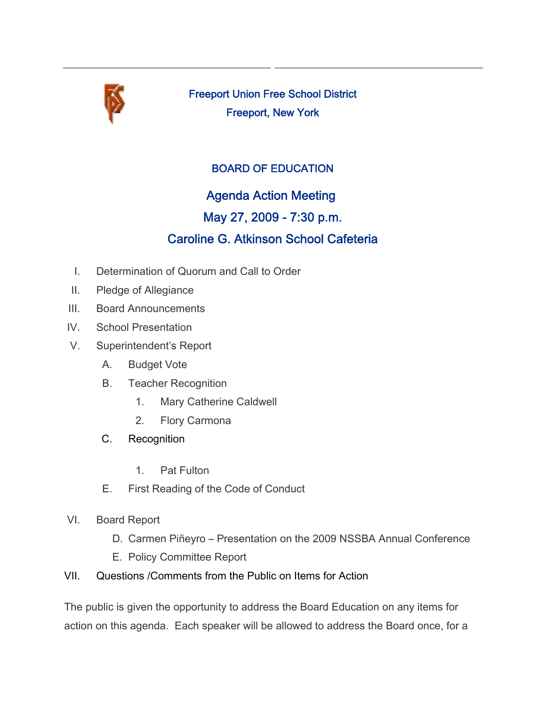

Freeport Union Free School District Freeport, New York

## BOARD OF EDUCATION

## Agenda Action Meeting

## May 27, 2009 - 7:30 p.m.

# Caroline G. Atkinson School Cafeteria

- I. Determination of Quorum and Call to Order
- II. Pledge of Allegiance
- III. Board Announcements
- IV. School Presentation
- V. Superintendent's Report
	- A. Budget Vote
	- B. Teacher Recognition
		- 1. Mary Catherine Caldwell
		- 2. Flory Carmona
	- C. Recognition
		- 1. Pat Fulton
	- E. First Reading of the Code of Conduct
- VI. Board Report
	- D. Carmen Piñeyro Presentation on the 2009 NSSBA Annual Conference
	- E. Policy Committee Report
- VII. Questions /Comments from the Public on Items for Action

The public is given the opportunity to address the Board Education on any items for action on this agenda. Each speaker will be allowed to address the Board once, for a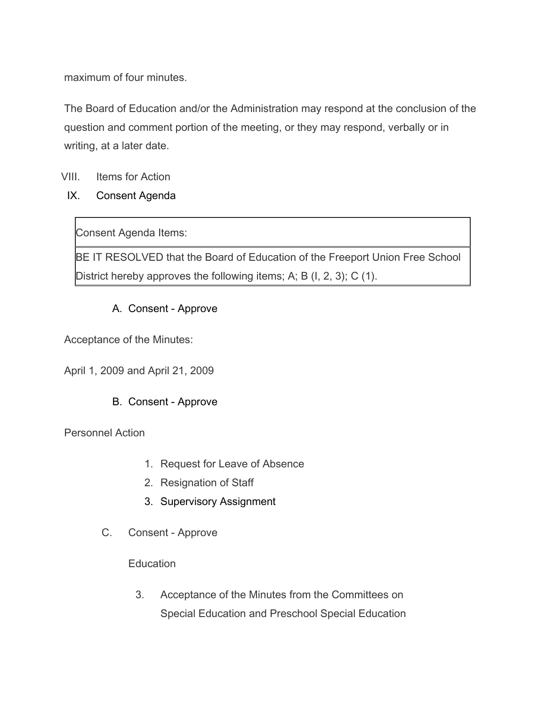maximum of four minutes.

The Board of Education and/or the Administration may respond at the conclusion of the question and comment portion of the meeting, or they may respond, verbally or in writing, at a later date.

## VIII. Items for Action

IX. Consent Agenda

Consent Agenda Items:

BE IT RESOLVED that the Board of Education of the Freeport Union Free School District hereby approves the following items; A; B (I, 2, 3); C (1).

## A. Consent - Approve

Acceptance of the Minutes:

April 1, 2009 and April 21, 2009

## B. Consent - Approve

Personnel Action

- 1. Request for Leave of Absence
- 2. Resignation of Staff
- 3. Supervisory Assignment
- C. Consent Approve

### **Education**

3. Acceptance of the Minutes from the Committees on Special Education and Preschool Special Education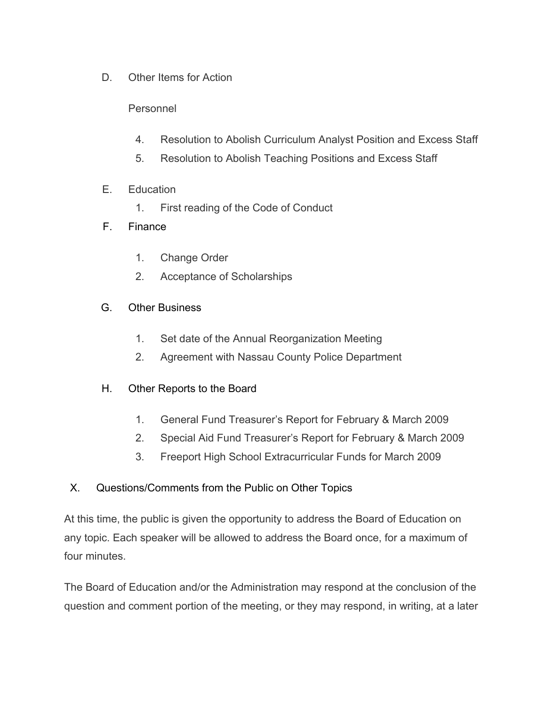D. Other Items for Action

## Personnel

- 4. Resolution to Abolish Curriculum Analyst Position and Excess Staff
- 5. Resolution to Abolish Teaching Positions and Excess Staff
- E. Education
	- 1. First reading of the Code of Conduct

### F. Finance

- 1. Change Order
- 2. Acceptance of Scholarships

### G. Other Business

- 1. Set date of the Annual Reorganization Meeting
- 2. Agreement with Nassau County Police Department
- H. Other Reports to the Board
	- 1. General Fund Treasurer's Report for February & March 2009
	- 2. Special Aid Fund Treasurer's Report for February & March 2009
	- 3. Freeport High School Extracurricular Funds for March 2009

### X. Questions/Comments from the Public on Other Topics

At this time, the public is given the opportunity to address the Board of Education on any topic. Each speaker will be allowed to address the Board once, for a maximum of four minutes.

The Board of Education and/or the Administration may respond at the conclusion of the question and comment portion of the meeting, or they may respond, in writing, at a later